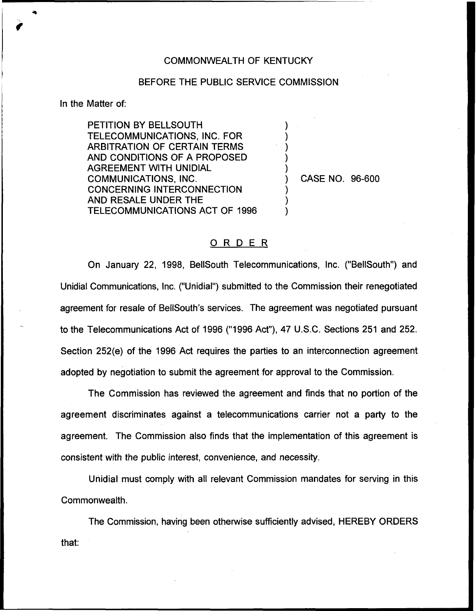## COMMONWEALTH OF KENTUCKY

## BEFORE THE PUBLIC SERVICE COMMISSION

) ) ) ) )

) ) )

In the Matter of:

PETITION BY BELLSOUTH TELECOMMUNICATIONS, INC. FOR ARBITRATION OF CERTAIN TERMS AND CONDITIONS OF A PROPOSED AGREEMENT WITH UNIDIAL COMMUNICATIONS, INC. CONCERNING INTERCONNECTION AND RESALE UNDER THE TELECOMMUNICATIONS ACT OF 1996

) CASE NO. 96-600

## ORDER

On January 22, 1998, BellSouth Telecommunications, Inc. ("BelISouth") and Unidial Communications, Inc. ("Unidial") submitted to the Commission their renegotiated agreement for resale of BellSouth's services. The agreement was negotiated pursuant to the Telecommunications Act of 1996 ("1996Act"), 47 U.S.C. Sections 251 and 252. Section 252(e) of the 1996 Act requires the parties to an interconnection agreement adopted by negotiation to submit the agreement for approval to the Commission.

The Commission has reviewed the agreement and finds that no portion of the agreement discriminates against a telecommunications carrier not a party to the agreement. The Commission also finds that the implementation of this agreement is consistent with the public interest, convenience, and necessity.

Unidial must comply with all relevant Commission mandates for serving in this Commonwealth.

The Commission, having been otherwise sufficiently advised, HEREBY ORDERSthat: